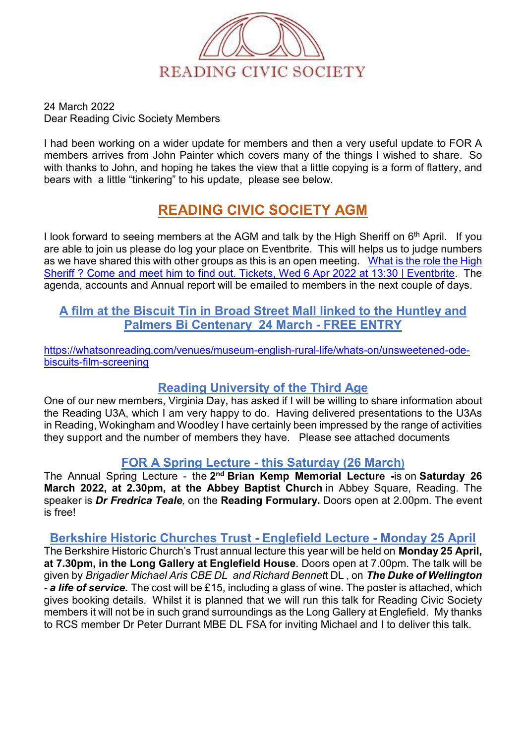

24 March 2022 Dear Reading Civic Society Members

I had been working on a wider update for members and then a very useful update to FOR A members arrives from John Painter which covers many of the things I wished to share. So with thanks to John, and hoping he takes the view that a little copying is a form of flattery, and bears with a little "tinkering" to his update, please see below.

# **READING CIVIC SOCIETY AGM**

I look forward to seeing members at the AGM and talk by the High Sheriff on  $6<sup>th</sup>$  April. If you are able to join us please do log your place on Eventbrite. This will helps us to judge numbers as we have shared this with other groups as this is an open meeting. What is the role the High [Sheriff ? Come and meet him to find out. Tickets, Wed 6 Apr 2022 at 13:30 | Eventbrite.](https://www.eventbrite.co.uk/e/what-is-the-role-the-high-sheriff-come-and-meet-him-to-find-out-tickets-300559480497) The agenda, accounts and Annual report will be emailed to members in the next couple of days.

## **A film at the Biscuit Tin in Broad Street Mall linked to the Huntley and Palmers Bi Centenary 24 March - FREE ENTRY**

[https://whatsonreading.com/venues/museum-english-rural-life/whats-on/unsweetened-ode](https://nam12.safelinks.protection.outlook.com/?url=https%3A%2F%2Fwhatsonreading.com%2Fvenues%2Fmuseum-english-rural-life%2Fwhats-on%2Funsweetened-ode-biscuits-film-screening&data=04%7C01%7C%7Ca71f397ff0cf4216380008da078031dd%7C84df9e7fe9f640afb435aaaaaaaaaaaa%7C1%7C0%7C637830544410551354%7CUnknown%7CTWFpbGZsb3d8eyJWIjoiMC4wLjAwMDAiLCJQIjoiV2luMzIiLCJBTiI6Ik1haWwiLCJXVCI6Mn0%3D%7C3000&sdata=46urD4t%2BZZrRpXn7LSA5LIgwte62wdfP5v3jfABzgeI%3D&reserved=0)[biscuits-film-screening](https://nam12.safelinks.protection.outlook.com/?url=https%3A%2F%2Fwhatsonreading.com%2Fvenues%2Fmuseum-english-rural-life%2Fwhats-on%2Funsweetened-ode-biscuits-film-screening&data=04%7C01%7C%7Ca71f397ff0cf4216380008da078031dd%7C84df9e7fe9f640afb435aaaaaaaaaaaa%7C1%7C0%7C637830544410551354%7CUnknown%7CTWFpbGZsb3d8eyJWIjoiMC4wLjAwMDAiLCJQIjoiV2luMzIiLCJBTiI6Ik1haWwiLCJXVCI6Mn0%3D%7C3000&sdata=46urD4t%2BZZrRpXn7LSA5LIgwte62wdfP5v3jfABzgeI%3D&reserved=0)

# **Reading University of the Third Age**

One of our new members, Virginia Day, has asked if I will be willing to share information about the Reading U3A, which I am very happy to do. Having delivered presentations to the U3As in Reading, Wokingham and Woodley I have certainly been impressed by the range of activities they support and the number of members they have. Please see attached documents

# **FOR A Spring Lecture - this Saturday (26 March)**

The Annual Spring Lecture - the **2nd Brian Kemp Memorial Lecture -**is on **Saturday 26 March 2022, at 2.30pm, at the Abbey Baptist Church** in Abbey Square, Reading. The speaker is *Dr Fredrica Teale,* on the **Reading Formulary.** Doors open at 2.00pm. The event is free!

# **Berkshire Historic Churches Trust - Englefield Lecture - Monday 25 April**

The Berkshire Historic Church's Trust annual lecture this year will be held on **Monday 25 April, at 7.30pm, in the Long Gallery at Englefield House**. Doors open at 7.00pm. The talk will be given by *Brigadier Michael Aris CBE DL and Richard Bennet*t DL , on *The Duke of Wellington - a life of service.* The cost will be £15, including a glass of wine. The poster is attached, which gives booking details. Whilst it is planned that we will run this talk for Reading Civic Society members it will not be in such grand surroundings as the Long Gallery at Englefield. My thanks to RCS member Dr Peter Durrant MBE DL FSA for inviting Michael and I to deliver this talk.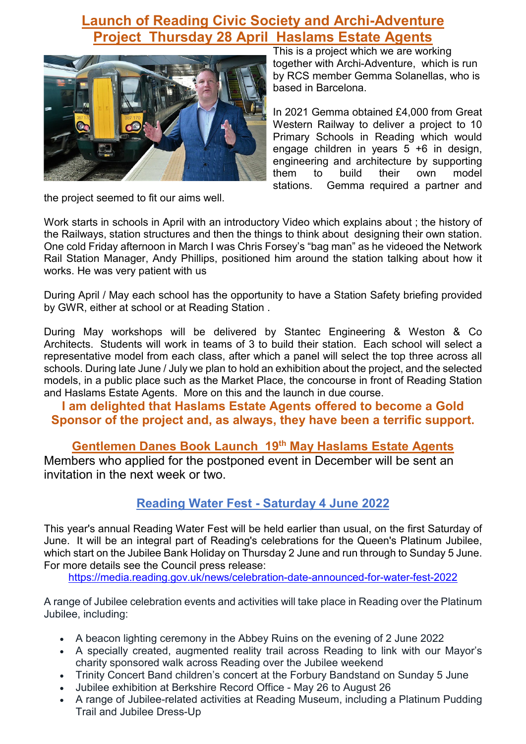# **Launch of Reading Civic Society and Archi-Adventure Project Thursday 28 April Haslams Estate Agents**



This is a project which we are working together with Archi-Adventure, which is run by RCS member Gemma Solanellas, who is based in Barcelona.

In 2021 Gemma obtained £4,000 from Great Western Railway to deliver a project to 10 Primary Schools in Reading which would engage children in years 5 +6 in design, engineering and architecture by supporting them to build their own model stations. Gemma required a partner and

the project seemed to fit our aims well.

Work starts in schools in April with an introductory Video which explains about ; the history of the Railways, station structures and then the things to think about designing their own station. One cold Friday afternoon in March I was Chris Forsey's "bag man" as he videoed the Network Rail Station Manager, Andy Phillips, positioned him around the station talking about how it works. He was very patient with us

During April / May each school has the opportunity to have a Station Safety briefing provided by GWR, either at school or at Reading Station .

During May workshops will be delivered by Stantec Engineering & Weston & Co Architects. Students will work in teams of 3 to build their station. Each school will select a representative model from each class, after which a panel will select the top three across all schools. During late June / July we plan to hold an exhibition about the project, and the selected models, in a public place such as the Market Place, the concourse in front of Reading Station and Haslams Estate Agents. More on this and the launch in due course.

# **I am delighted that Haslams Estate Agents offered to become a Gold Sponsor of the project and, as always, they have been a terrific support.**

**Gentlemen Danes Book Launch 19th May Haslams Estate Agents** 

Members who applied for the postponed event in December will be sent an invitation in the next week or two.

# **Reading Water Fest - Saturday 4 June 2022**

This year's annual Reading Water Fest will be held earlier than usual, on the first Saturday of June. It will be an integral part of Reading's celebrations for the Queen's Platinum Jubilee, which start on the Jubilee Bank Holiday on Thursday 2 June and run through to Sunday 5 June. For more details see the Council press release:

[https://media.reading.gov.uk/news/celebration-date-announced-for-water-fest-2022](https://nam12.safelinks.protection.outlook.com/?url=https%3A%2F%2Fmedia.reading.gov.uk%2Fnews%2Fcelebration-date-announced-for-water-fest-2022&data=04%7C01%7C%7C01d4d8d6749144eb9b4208da0cdb7ff3%7C84df9e7fe9f640afb435aaaaaaaaaaaa%7C1%7C0%7C637836434289335263%7CUnknown%7CTWFpbGZsb3d8eyJWIjoiMC4wLjAwMDAiLCJQIjoiV2luMzIiLCJBTiI6Ik1haWwiLCJXVCI6Mn0%3D%7C3000&sdata=72RprJMnBQM5nBFEpZQGMj2g6BZt%2FTZgVfrTepk4K%2FI%3D&reserved=0)

A range of Jubilee celebration events and activities will take place in Reading over the Platinum Jubilee, including:

- A beacon lighting ceremony in the Abbey Ruins on the evening of 2 June 2022
- A specially created, augmented reality trail across Reading to link with our Mayor's charity sponsored walk across Reading over the Jubilee weekend
- Trinity Concert Band children's concert at the Forbury Bandstand on Sunday 5 June
- Jubilee exhibition at Berkshire Record Office May 26 to August 26
- A range of Jubilee-related activities at Reading Museum, including a Platinum Pudding Trail and Jubilee Dress-Up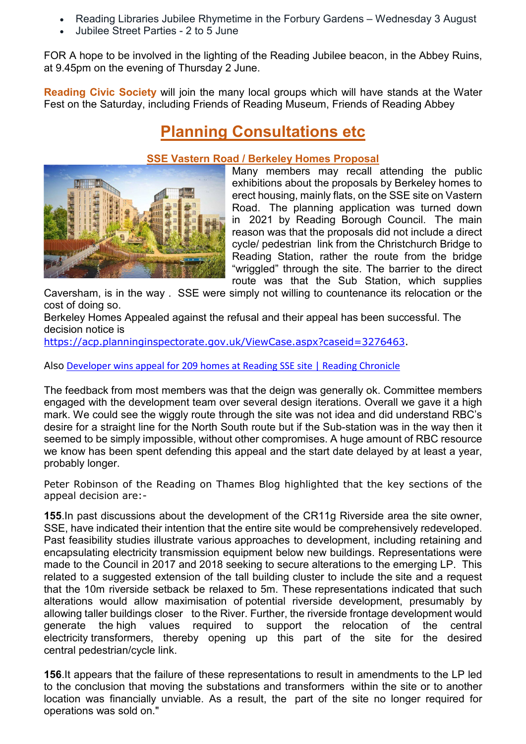- Reading Libraries Jubilee Rhymetime in the Forbury Gardens Wednesday 3 August
- Jubilee Street Parties 2 to 5 June

FOR A hope to be involved in the lighting of the Reading Jubilee beacon, in the Abbey Ruins, at 9.45pm on the evening of Thursday 2 June.

**Reading Civic Society** will join the many local groups which will have stands at the Water Fest on the Saturday, including Friends of Reading Museum, Friends of Reading Abbey

# **Planning Consultations etc**



#### **SSE Vastern Road / Berkeley Homes Proposal**

Many members may recall attending the public exhibitions about the proposals by Berkeley homes to erect housing, mainly flats, on the SSE site on Vastern Road. The planning application was turned down in 2021 by Reading Borough Council. The main reason was that the proposals did not include a direct cycle/ pedestrian link from the Christchurch Bridge to Reading Station, rather the route from the bridge "wriggled" through the site. The barrier to the direct route was that the Sub Station, which supplies

Caversham, is in the way . SSE were simply not willing to countenance its relocation or the cost of doing so.

Berkeley Homes Appealed against the refusal and their appeal has been successful. The decision notice is

[https://acp.planninginspectorate.gov.uk/ViewCase.aspx?caseid=3276463.](https://nam12.safelinks.protection.outlook.com/?url=https%3A%2F%2Facp.planninginspectorate.gov.uk%2FViewCase.aspx%3Fcaseid%3D3276463&data=04%7C01%7C%7C6639b3b9d2084c282c7508da0838fcfd%7C84df9e7fe9f640afb435aaaaaaaaaaaa%7C1%7C0%7C637831338094681573%7CUnknown%7CTWFpbGZsb3d8eyJWIjoiMC4wLjAwMDAiLCJQIjoiV2luMzIiLCJBTiI6Ik1haWwiLCJXVCI6Mn0%3D%7C3000&sdata=N25EwAosSXx8wGopcnEKaO80G28jnljbJQGKunLlOjI%3D&reserved=0)

Also [Developer wins appeal for 209 homes at Reading SSE site | Reading Chronicle](https://www.readingchronicle.co.uk/news/20012251.developer-wins-appeal-build-209-homes-old-see-site/)

The feedback from most members was that the deign was generally ok. Committee members engaged with the development team over several design iterations. Overall we gave it a high mark. We could see the wiggly route through the site was not idea and did understand RBC's desire for a straight line for the North South route but if the Sub-station was in the way then it seemed to be simply impossible, without other compromises. A huge amount of RBC resource we know has been spent defending this appeal and the start date delayed by at least a year, probably longer.

Peter Robinson of the Reading on Thames Blog highlighted that the key sections of the appeal decision are:-

**155**.In past discussions about the development of the CR11g Riverside area the site owner, SSE, have indicated their intention that the entire site would be comprehensively redeveloped. Past feasibility studies illustrate various approaches to development, including retaining and encapsulating electricity transmission equipment below new buildings. Representations were made to the Council in 2017 and 2018 seeking to secure alterations to the emerging LP. This related to a suggested extension of the tall building cluster to include the site and a request that the 10m riverside setback be relaxed to 5m. These representations indicated that such alterations would allow maximisation of potential riverside development, presumably by allowing taller buildings closer to the River. Further, the riverside frontage development would generate the high values required to support the relocation of the central electricity transformers, thereby opening up this part of the site for the desired central pedestrian/cycle link.

**156**.It appears that the failure of these representations to result in amendments to the LP led to the conclusion that moving the substations and transformers within the site or to another location was financially unviable. As a result, the part of the site no longer required for operations was sold on."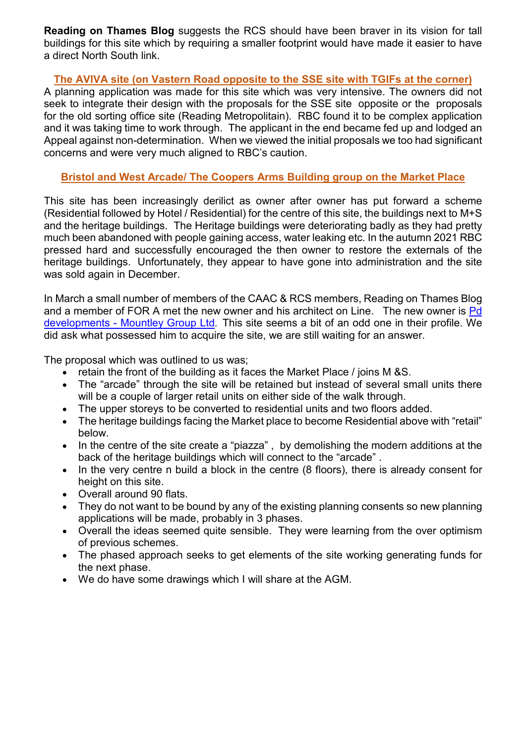**Reading on Thames Blog** suggests the RCS should have been braver in its vision for tall buildings for this site which by requiring a smaller footprint would have made it easier to have a direct North South link.

#### **The AVIVA site (on Vastern Road opposite to the SSE site with TGIFs at the corner)**

A planning application was made for this site which was very intensive. The owners did not seek to integrate their design with the proposals for the SSE site opposite or the proposals for the old sorting office site (Reading Metropolitain). RBC found it to be complex application and it was taking time to work through. The applicant in the end became fed up and lodged an Appeal against non-determination. When we viewed the initial proposals we too had significant concerns and were very much aligned to RBC's caution.

#### **Bristol and West Arcade/ The Coopers Arms Building group on the Market Place**

This site has been increasingly derilict as owner after owner has put forward a scheme (Residential followed by Hotel / Residential) for the centre of this site, the buildings next to M+S and the heritage buildings. The Heritage buildings were deteriorating badly as they had pretty much been abandoned with people gaining access, water leaking etc. In the autumn 2021 RBC pressed hard and successfully encouraged the then owner to restore the externals of the heritage buildings. Unfortunately, they appear to have gone into administration and the site was sold again in December.

In March a small number of members of the CAAC & RCS members, Reading on Thames Blog and a member of FOR A met the new owner and his architect on Line. The new owner is Pd [developments - Mountley Group Ltd](https://www.mountley.co.uk/current-developments.html). This site seems a bit of an odd one in their profile. We did ask what possessed him to acquire the site, we are still waiting for an answer.

The proposal which was outlined to us was;

- retain the front of the building as it faces the Market Place / joins M &S.
- The "arcade" through the site will be retained but instead of several small units there will be a couple of larger retail units on either side of the walk through.
- The upper storeys to be converted to residential units and two floors added.
- The heritage buildings facing the Market place to become Residential above with "retail" below.
- In the centre of the site create a "piazza" , by demolishing the modern additions at the back of the heritage buildings which will connect to the "arcade" .
- In the very centre n build a block in the centre (8 floors), there is already consent for height on this site.
- Overall around 90 flats.
- They do not want to be bound by any of the existing planning consents so new planning applications will be made, probably in 3 phases.
- Overall the ideas seemed quite sensible. They were learning from the over optimism of previous schemes.
- The phased approach seeks to get elements of the site working generating funds for the next phase.
- We do have some drawings which I will share at the AGM.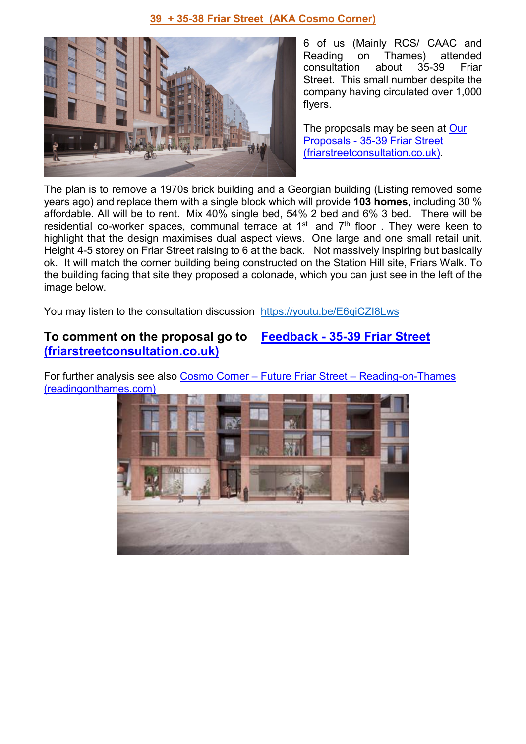#### **39 + 35-38 Friar Street (AKA Cosmo Corner)**



6 of us (Mainly RCS/ CAAC and on Thames) attended<br>n about 35-39 Friar consultation about 35-39 Friar Street. This small number despite the company having circulated over 1,000 flyers.

The proposals may be seen at [Our](http://friarstreetconsultation.co.uk/our-proposals/)  [Proposals - 35-39 Friar Street](http://friarstreetconsultation.co.uk/our-proposals/)  [\(friarstreetconsultation.co.uk\).](http://friarstreetconsultation.co.uk/our-proposals/)

The plan is to remove a 1970s brick building and a Georgian building (Listing removed some years ago) and replace them with a single block which will provide **103 homes**, including 30 % affordable. All will be to rent. Mix 40% single bed, 54% 2 bed and 6% 3 bed. There will be residential co-worker spaces, communal terrace at  $1<sup>st</sup>$  and  $7<sup>th</sup>$  floor . They were keen to highlight that the design maximises dual aspect views. One large and one small retail unit. Height 4-5 storey on Friar Street raising to 6 at the back. Not massively inspiring but basically ok. It will match the corner building being constructed on the Station Hill site, Friars Walk. To the building facing that site they proposed a colonade, which you can just see in the left of the image below.

You may listen to the consultation discussion <https://youtu.be/E6qiCZI8Lws>

# **To comment on the proposal go to [Feedback - 35-39 Friar Street](http://friarstreetconsultation.co.uk/consultation/)  [\(friarstreetconsultation.co.uk\)](http://friarstreetconsultation.co.uk/consultation/)**

For further analysis see also Cosmo Corner - Future Friar Street - Reading-on-Thames [\(readingonthames.com\)](https://readingonthames.com/2022/03/03/cosmo-corner-future-friar-street/#more-6250)

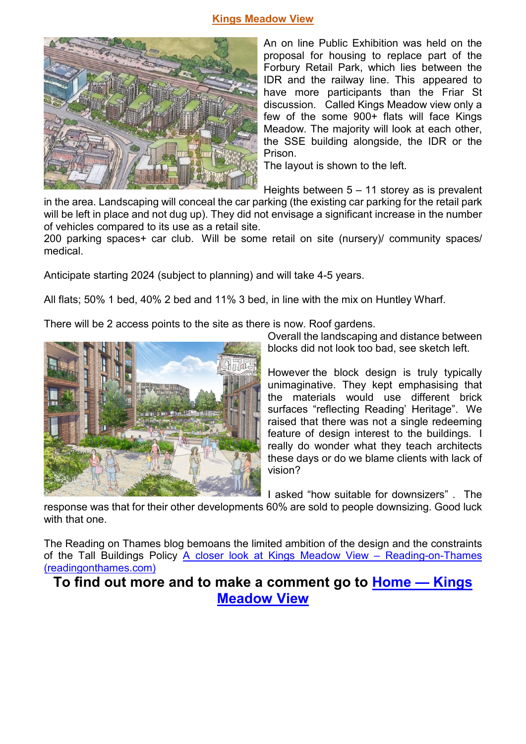#### **Kings Meadow View**



An on line Public Exhibition was held on the proposal for housing to replace part of the Forbury Retail Park, which lies between the IDR and the railway line. This appeared to have more participants than the Friar St discussion. Called Kings Meadow view only a few of the some 900+ flats will face Kings Meadow. The majority will look at each other, the SSE building alongside, the IDR or the Prison.

The layout is shown to the left.

Heights between 5 – 11 storey as is prevalent

in the area. Landscaping will conceal the car parking (the existing car parking for the retail park will be left in place and not dug up). They did not envisage a significant increase in the number of vehicles compared to its use as a retail site.

200 parking spaces+ car club. Will be some retail on site (nursery)/ community spaces/ medical.

Anticipate starting 2024 (subject to planning) and will take 4-5 years.

All flats; 50% 1 bed, 40% 2 bed and 11% 3 bed, in line with the mix on Huntley Wharf.

There will be 2 access points to the site as there is now. Roof gardens.



Overall the landscaping and distance between blocks did not look too bad, see sketch left.

However the block design is truly typically unimaginative. They kept emphasising that the materials would use different brick surfaces "reflecting Reading' Heritage". We raised that there was not a single redeeming feature of design interest to the buildings. I really do wonder what they teach architects these days or do we blame clients with lack of vision?

I asked "how suitable for downsizers" . The

response was that for their other developments 60% are sold to people downsizing. Good luck with that one.

The Reading on Thames blog bemoans the limited ambition of the design and the constraints of the Tall Buildings Policy [A closer look at Kings Meadow View – Reading-on-Thames](https://readingonthames.com/2022/02/17/a-closer-look-at-kings-meadow-view/#more-6222)  [\(readingonthames.com\)](https://readingonthames.com/2022/02/17/a-closer-look-at-kings-meadow-view/#more-6222)

**To find out more and to make a comment go to [Home — Kings](https://www.kingsmeadowview.co.uk/home)  [Meadow View](https://www.kingsmeadowview.co.uk/home)**